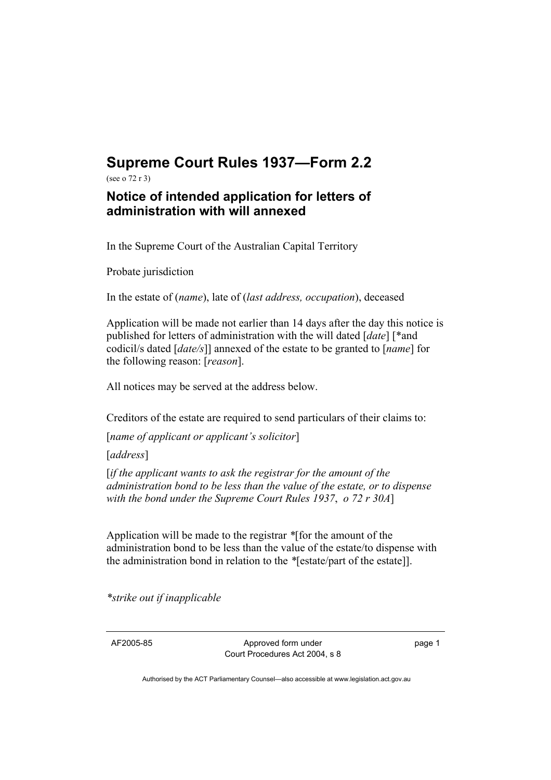## **Supreme Court Rules 1937—Form 2.2**

(see o 72 r 3)

## **Notice of intended application for letters of administration with will annexed**

In the Supreme Court of the Australian Capital Territory

Probate jurisdiction

In the estate of (*name*), late of (*last address, occupation*), deceased

Application will be made not earlier than 14 days after the day this notice is published for letters of administration with the will dated [*date*] [\*and codicil/s dated [*date/s*]] annexed of the estate to be granted to [*name*] for the following reason: [*reason*].

All notices may be served at the address below.

Creditors of the estate are required to send particulars of their claims to:

[*name of applicant or applicant's solicitor*]

[*address*]

[*if the applicant wants to ask the registrar for the amount of the administration bond to be less than the value of the estate, or to dispense with the bond under the Supreme Court Rules 1937*, *o 72 r 30A*]

Application will be made to the registrar *\**[for the amount of the administration bond to be less than the value of the estate/to dispense with the administration bond in relation to the *\**[estate/part of the estate]].

*\*strike out if inapplicable*

AF2005-85 Approved form under Court Procedures Act 2004, s 8 page 1

Authorised by the ACT Parliamentary Counsel—also accessible at www.legislation.act.gov.au